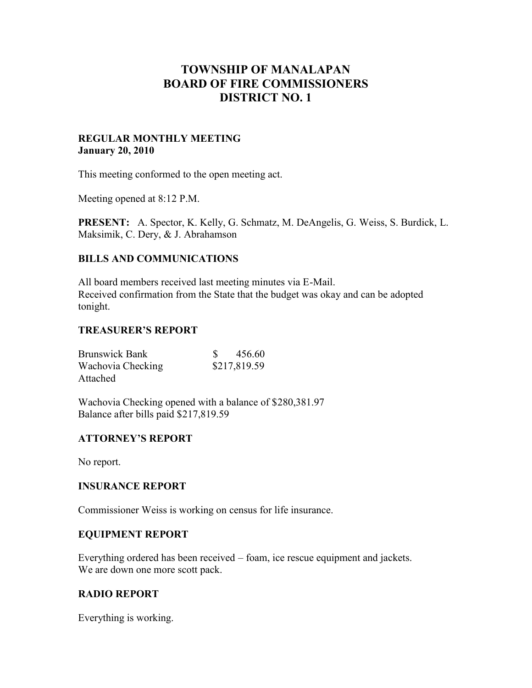# **TOWNSHIP OF MANALAPAN BOARD OF FIRE COMMISSIONERS DISTRICT NO. 1**

### **REGULAR MONTHLY MEETING January 20, 2010**

This meeting conformed to the open meeting act.

Meeting opened at 8:12 P.M.

**PRESENT:** A. Spector, K. Kelly, G. Schmatz, M. DeAngelis, G. Weiss, S. Burdick, L. Maksimik, C. Dery, & J. Abrahamson

## **BILLS AND COMMUNICATIONS**

All board members received last meeting minutes via E-Mail. Received confirmation from the State that the budget was okay and can be adopted tonight.

## **TREASURER'S REPORT**

| <b>Brunswick Bank</b> | 456.60       |
|-----------------------|--------------|
| Wachovia Checking     | \$217,819.59 |
| Attached              |              |

Wachovia Checking opened with a balance of \$280,381.97 Balance after bills paid \$217,819.59

## **ATTORNEY'S REPORT**

No report.

#### **INSURANCE REPORT**

Commissioner Weiss is working on census for life insurance.

#### **EQUIPMENT REPORT**

Everything ordered has been received – foam, ice rescue equipment and jackets. We are down one more scott pack.

#### **RADIO REPORT**

Everything is working.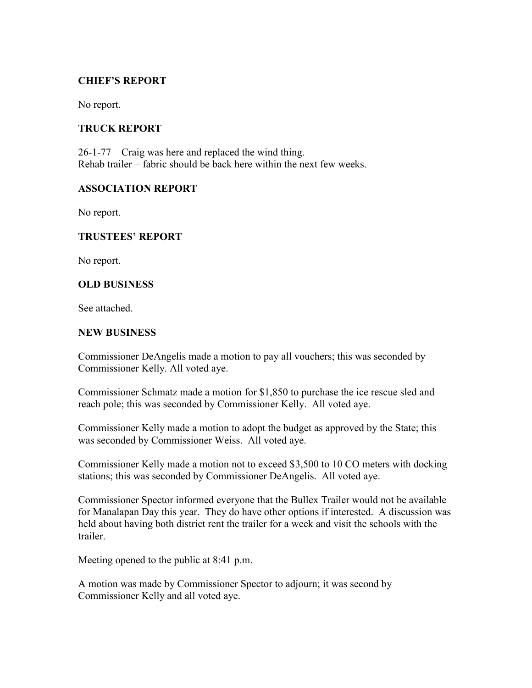## **CHIEF'S REPORT**

No report.

### **TRUCK REPORT**

26-1-77 – Craig was here and replaced the wind thing. Rehab trailer – fabric should be back here within the next few weeks.

#### **ASSOCIATION REPORT**

No report.

#### **TRUSTEES' REPORT**

No report.

#### **OLD BUSINESS**

See attached.

#### **NEW BUSINESS**

Commissioner DeAngelis made a motion to pay all vouchers; this was seconded by Commissioner Kelly. All voted aye.

Commissioner Schmatz made a motion for \$1,850 to purchase the ice rescue sled and reach pole; this was seconded by Commissioner Kelly. All voted aye.

Commissioner Kelly made a motion to adopt the budget as approved by the State; this was seconded by Commissioner Weiss. All voted aye.

Commissioner Kelly made a motion not to exceed \$3,500 to 10 CO meters with docking stations; this was seconded by Commissioner DeAngelis. All voted aye.

Commissioner Spector informed everyone that the Bullex Trailer would not be available for Manalapan Day this year. They do have other options if interested. A discussion was held about having both district rent the trailer for a week and visit the schools with the trailer.

Meeting opened to the public at 8:41 p.m.

A motion was made by Commissioner Spector to adjourn; it was second by Commissioner Kelly and all voted aye.